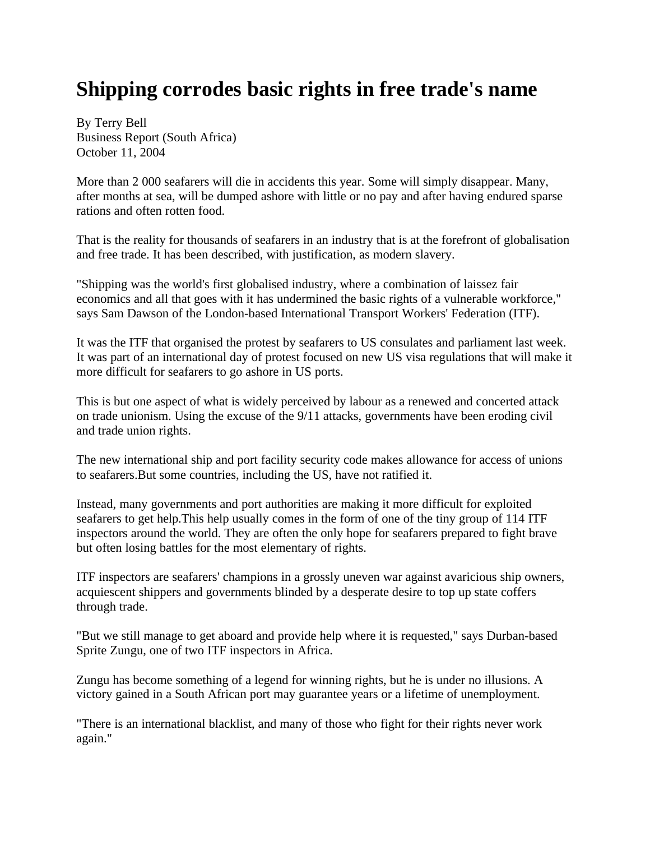## **Shipping corrodes basic rights in free trade's name**

By Terry Bell Business Report (South Africa) October 11, 2004

More than 2 000 seafarers will die in accidents this year. Some will simply disappear. Many, after months at sea, will be dumped ashore with little or no pay and after having endured sparse rations and often rotten food.

That is the reality for thousands of seafarers in an industry that is at the forefront of globalisation and free trade. It has been described, with justification, as modern slavery.

"Shipping was the world's first globalised industry, where a combination of laissez fair economics and all that goes with it has undermined the basic rights of a vulnerable workforce," says Sam Dawson of the London-based International Transport Workers' Federation (ITF).

It was the ITF that organised the protest by seafarers to US consulates and parliament last week. It was part of an international day of protest focused on new US visa regulations that will make it more difficult for seafarers to go ashore in US ports.

This is but one aspect of what is widely perceived by labour as a renewed and concerted attack on trade unionism. Using the excuse of the 9/11 attacks, governments have been eroding civil and trade union rights.

The new international ship and port facility security code makes allowance for access of unions to seafarers.But some countries, including the US, have not ratified it.

Instead, many governments and port authorities are making it more difficult for exploited seafarers to get help.This help usually comes in the form of one of the tiny group of 114 ITF inspectors around the world. They are often the only hope for seafarers prepared to fight brave but often losing battles for the most elementary of rights.

ITF inspectors are seafarers' champions in a grossly uneven war against avaricious ship owners, acquiescent shippers and governments blinded by a desperate desire to top up state coffers through trade.

"But we still manage to get aboard and provide help where it is requested," says Durban-based Sprite Zungu, one of two ITF inspectors in Africa.

Zungu has become something of a legend for winning rights, but he is under no illusions. A victory gained in a South African port may guarantee years or a lifetime of unemployment.

"There is an international blacklist, and many of those who fight for their rights never work again."